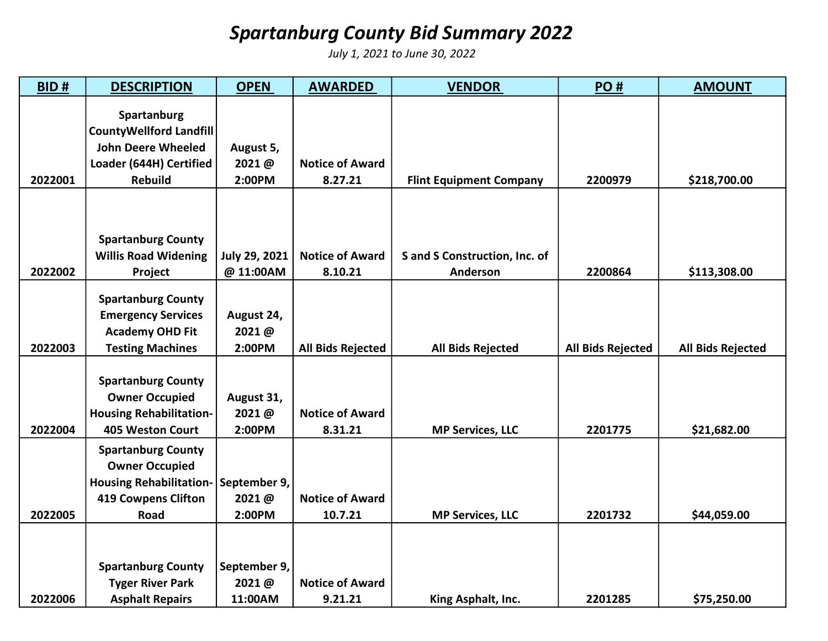## Spartanburg County Bid Summary 2022

July 1, 2021 to June 30, 2022

| BID#    | <b>DESCRIPTION</b>             | <b>OPEN</b>          | <b>AWARDED</b>           | <b>VENDOR</b>                  | PO#                      | <b>AMOUNT</b>            |
|---------|--------------------------------|----------------------|--------------------------|--------------------------------|--------------------------|--------------------------|
|         | Spartanburg                    |                      |                          |                                |                          |                          |
|         | <b>CountyWellford Landfill</b> |                      |                          |                                |                          |                          |
|         | <b>John Deere Wheeled</b>      | August 5,            |                          |                                |                          |                          |
|         | Loader (644H) Certified        | 2021@                | <b>Notice of Award</b>   |                                |                          |                          |
| 2022001 | <b>Rebuild</b>                 | 2:00PM               | 8.27.21                  | <b>Flint Equipment Company</b> | 2200979                  | \$218,700.00             |
|         |                                |                      |                          |                                |                          |                          |
|         |                                |                      |                          |                                |                          |                          |
|         |                                |                      |                          |                                |                          |                          |
|         | <b>Spartanburg County</b>      |                      |                          |                                |                          |                          |
|         | <b>Willis Road Widening</b>    | <b>July 29, 2021</b> | <b>Notice of Award</b>   | S and S Construction, Inc. of  |                          |                          |
| 2022002 | Project                        | @ 11:00AM            | 8.10.21                  | Anderson                       | 2200864                  | \$113,308.00             |
|         | <b>Spartanburg County</b>      |                      |                          |                                |                          |                          |
|         | <b>Emergency Services</b>      | August 24,           |                          |                                |                          |                          |
|         | <b>Academy OHD Fit</b>         | 2021@                |                          |                                |                          |                          |
| 2022003 | <b>Testing Machines</b>        | 2:00PM               | <b>All Bids Rejected</b> | <b>All Bids Rejected</b>       | <b>All Bids Rejected</b> | <b>All Bids Rejected</b> |
|         |                                |                      |                          |                                |                          |                          |
|         | <b>Spartanburg County</b>      |                      |                          |                                |                          |                          |
|         | <b>Owner Occupied</b>          | August 31,           |                          |                                |                          |                          |
|         | <b>Housing Rehabilitation-</b> | 2021@                | <b>Notice of Award</b>   |                                |                          |                          |
| 2022004 | <b>405 Weston Court</b>        | 2:00PM               | 8.31.21                  | <b>MP Services, LLC</b>        | 2201775                  | \$21,682.00              |
|         | <b>Spartanburg County</b>      |                      |                          |                                |                          |                          |
|         | <b>Owner Occupied</b>          |                      |                          |                                |                          |                          |
|         | <b>Housing Rehabilitation-</b> | September 9,         |                          |                                |                          |                          |
|         | <b>419 Cowpens Clifton</b>     | 2021@                | <b>Notice of Award</b>   |                                |                          |                          |
| 2022005 | Road                           | 2:00PM               | 10.7.21                  | <b>MP Services, LLC</b>        | 2201732                  | \$44,059.00              |
|         |                                |                      |                          |                                |                          |                          |
|         |                                |                      |                          |                                |                          |                          |
|         | <b>Spartanburg County</b>      | September 9,         |                          |                                |                          |                          |
|         | <b>Tyger River Park</b>        | 2021@                | <b>Notice of Award</b>   |                                |                          |                          |
| 2022006 | <b>Asphalt Repairs</b>         | 11:00AM              | 9.21.21                  | King Asphalt, Inc.             | 2201285                  | \$75,250.00              |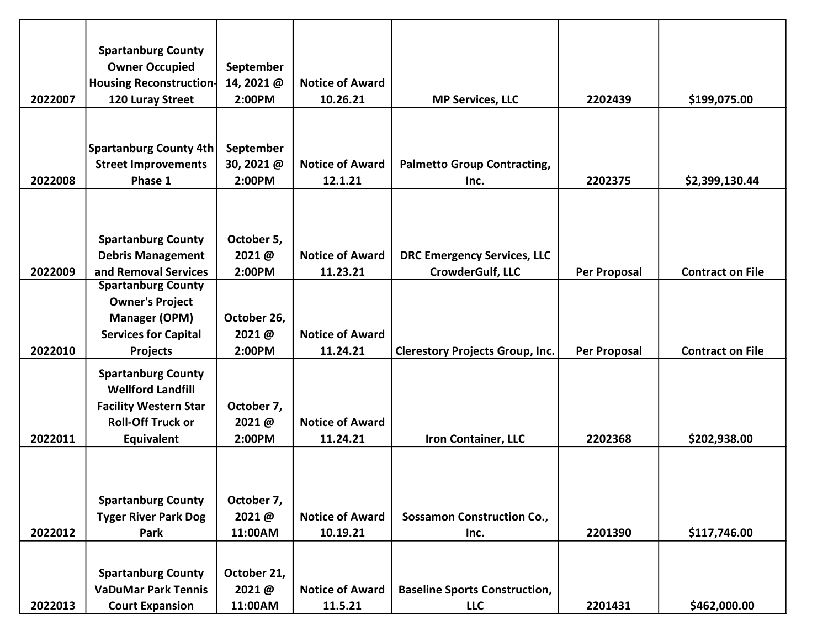|         | <b>Spartanburg County</b>     |             |                        |                                        |                     |                         |
|---------|-------------------------------|-------------|------------------------|----------------------------------------|---------------------|-------------------------|
|         | <b>Owner Occupied</b>         | September   |                        |                                        |                     |                         |
|         | Housing Reconstruction-       | 14, 2021 @  | <b>Notice of Award</b> |                                        |                     |                         |
| 2022007 | 120 Luray Street              | 2:00PM      | 10.26.21               | <b>MP Services, LLC</b>                | 2202439             | \$199,075.00            |
|         |                               |             |                        |                                        |                     |                         |
|         |                               |             |                        |                                        |                     |                         |
|         | <b>Spartanburg County 4th</b> | September   |                        |                                        |                     |                         |
|         | <b>Street Improvements</b>    | 30, 2021 @  | <b>Notice of Award</b> | <b>Palmetto Group Contracting,</b>     |                     |                         |
| 2022008 | Phase 1                       | 2:00PM      | 12.1.21                | Inc.                                   | 2202375             | \$2,399,130.44          |
|         |                               |             |                        |                                        |                     |                         |
|         |                               |             |                        |                                        |                     |                         |
|         | <b>Spartanburg County</b>     | October 5,  |                        |                                        |                     |                         |
|         | <b>Debris Management</b>      | 2021@       | <b>Notice of Award</b> | <b>DRC Emergency Services, LLC</b>     |                     |                         |
| 2022009 | and Removal Services          | 2:00PM      | 11.23.21               | CrowderGulf, LLC                       | <b>Per Proposal</b> | <b>Contract on File</b> |
|         | <b>Spartanburg County</b>     |             |                        |                                        |                     |                         |
|         | <b>Owner's Project</b>        |             |                        |                                        |                     |                         |
|         | <b>Manager (OPM)</b>          | October 26, |                        |                                        |                     |                         |
|         | <b>Services for Capital</b>   | 2021@       | <b>Notice of Award</b> |                                        |                     |                         |
| 2022010 | <b>Projects</b>               | 2:00PM      | 11.24.21               | <b>Clerestory Projects Group, Inc.</b> | <b>Per Proposal</b> | <b>Contract on File</b> |
|         | <b>Spartanburg County</b>     |             |                        |                                        |                     |                         |
|         | <b>Wellford Landfill</b>      |             |                        |                                        |                     |                         |
|         | <b>Facility Western Star</b>  | October 7,  |                        |                                        |                     |                         |
|         | <b>Roll-Off Truck or</b>      | 2021@       | <b>Notice of Award</b> |                                        |                     |                         |
| 2022011 | Equivalent                    | 2:00PM      | 11.24.21               | <b>Iron Container, LLC</b>             | 2202368             | \$202,938.00            |
|         |                               |             |                        |                                        |                     |                         |
|         |                               |             |                        |                                        |                     |                         |
|         |                               |             |                        |                                        |                     |                         |
|         | <b>Spartanburg County</b>     | October 7,  |                        |                                        |                     |                         |
|         | <b>Tyger River Park Dog</b>   | 2021 @      | <b>Notice of Award</b> | <b>Sossamon Construction Co.,</b>      |                     |                         |
| 2022012 | Park                          | 11:00AM     | 10.19.21               | Inc.                                   | 2201390             | \$117,746.00            |
|         |                               |             |                        |                                        |                     |                         |
|         | <b>Spartanburg County</b>     | October 21, |                        |                                        |                     |                         |
|         | <b>VaDuMar Park Tennis</b>    | 2021@       | <b>Notice of Award</b> | <b>Baseline Sports Construction,</b>   |                     |                         |
| 2022013 | <b>Court Expansion</b>        | 11:00AM     | 11.5.21                | <b>LLC</b>                             | 2201431             | \$462,000.00            |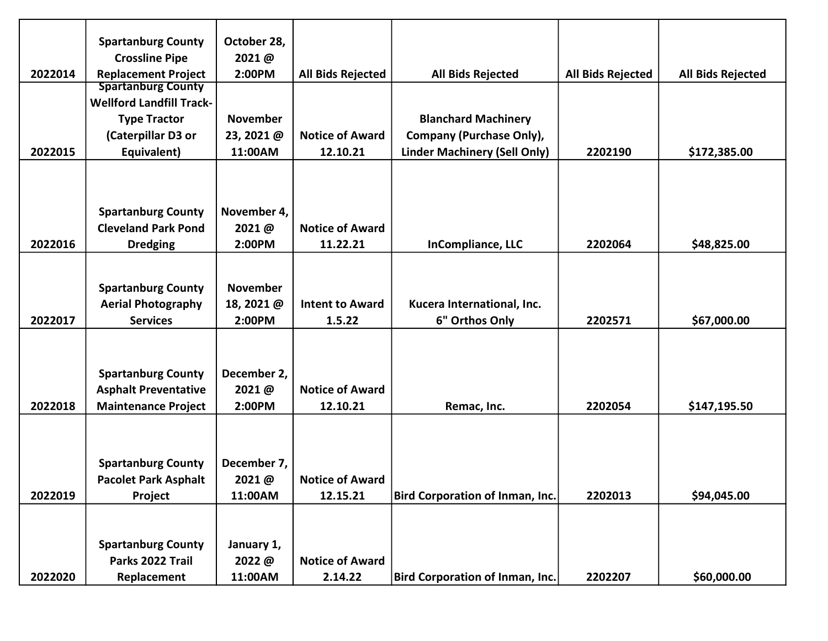|         | <b>Spartanburg County</b>       | October 28,     |                          |                                        |                          |                          |
|---------|---------------------------------|-----------------|--------------------------|----------------------------------------|--------------------------|--------------------------|
|         | <b>Crossline Pipe</b>           | 2021@           |                          |                                        |                          |                          |
| 2022014 | <b>Replacement Project</b>      | 2:00PM          | <b>All Bids Rejected</b> | <b>All Bids Rejected</b>               | <b>All Bids Rejected</b> | <b>All Bids Rejected</b> |
|         | <b>Spartanburg County</b>       |                 |                          |                                        |                          |                          |
|         | <b>Wellford Landfill Track-</b> |                 |                          |                                        |                          |                          |
|         | <b>Type Tractor</b>             | <b>November</b> |                          | <b>Blanchard Machinery</b>             |                          |                          |
|         | (Caterpillar D3 or              | 23, 2021 @      | <b>Notice of Award</b>   | Company (Purchase Only),               |                          |                          |
| 2022015 | Equivalent)                     | 11:00AM         | 12.10.21                 | <b>Linder Machinery (Sell Only)</b>    | 2202190                  | \$172,385.00             |
|         |                                 |                 |                          |                                        |                          |                          |
|         |                                 |                 |                          |                                        |                          |                          |
|         |                                 |                 |                          |                                        |                          |                          |
|         | <b>Spartanburg County</b>       | November 4,     |                          |                                        |                          |                          |
|         | <b>Cleveland Park Pond</b>      | 2021@           | <b>Notice of Award</b>   |                                        |                          |                          |
| 2022016 | <b>Dredging</b>                 | 2:00PM          | 11.22.21                 | <b>InCompliance, LLC</b>               | 2202064                  | \$48,825.00              |
|         |                                 |                 |                          |                                        |                          |                          |
|         |                                 |                 |                          |                                        |                          |                          |
|         | <b>Spartanburg County</b>       | <b>November</b> |                          |                                        |                          |                          |
|         | <b>Aerial Photography</b>       | 18, 2021@       | <b>Intent to Award</b>   | Kucera International, Inc.             |                          |                          |
| 2022017 | <b>Services</b>                 | 2:00PM          | 1.5.22                   | 6" Orthos Only                         | 2202571                  | \$67,000.00              |
|         |                                 |                 |                          |                                        |                          |                          |
|         |                                 |                 |                          |                                        |                          |                          |
|         | <b>Spartanburg County</b>       | December 2,     |                          |                                        |                          |                          |
|         | <b>Asphalt Preventative</b>     | 2021@           | <b>Notice of Award</b>   |                                        |                          |                          |
| 2022018 | <b>Maintenance Project</b>      | 2:00PM          | 12.10.21                 | Remac, Inc.                            | 2202054                  | \$147,195.50             |
|         |                                 |                 |                          |                                        |                          |                          |
|         |                                 |                 |                          |                                        |                          |                          |
|         |                                 |                 |                          |                                        |                          |                          |
|         | <b>Spartanburg County</b>       | December 7,     |                          |                                        |                          |                          |
|         | <b>Pacolet Park Asphalt</b>     | 2021@           | <b>Notice of Award</b>   |                                        |                          |                          |
| 2022019 | Project                         | 11:00AM         | 12.15.21                 | <b>Bird Corporation of Inman, Inc.</b> | 2202013                  | \$94,045.00              |
|         |                                 |                 |                          |                                        |                          |                          |
|         |                                 |                 |                          |                                        |                          |                          |
|         | <b>Spartanburg County</b>       | January 1,      |                          |                                        |                          |                          |
|         | Parks 2022 Trail                | 2022@           | <b>Notice of Award</b>   |                                        |                          |                          |
| 2022020 | Replacement                     | 11:00AM         | 2.14.22                  | Bird Corporation of Inman, Inc.        | 2202207                  | \$60,000.00              |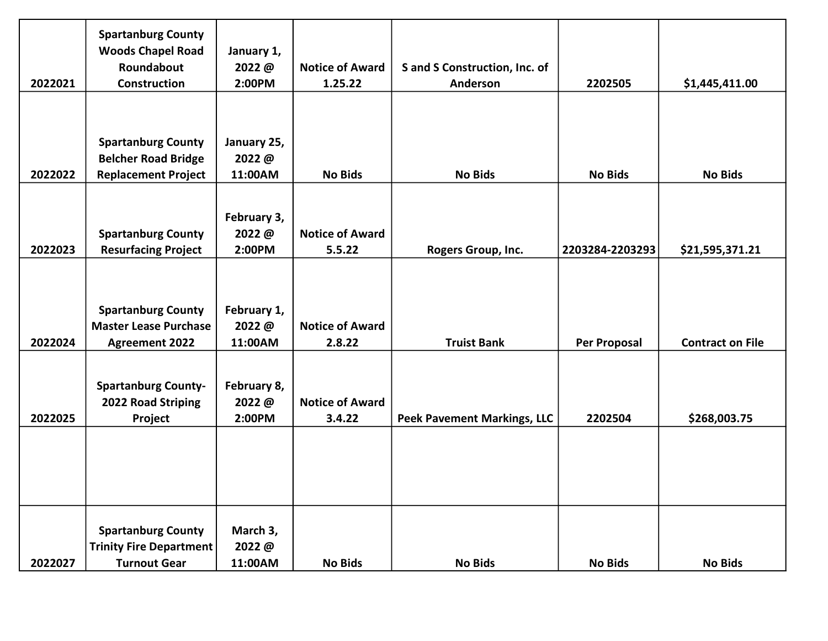|         | <b>Spartanburg County</b><br><b>Woods Chapel Road</b><br>Roundabout                   | January 1,<br>2022@             | <b>Notice of Award</b>           | <b>S</b> and S Construction, Inc. of |                 |                         |
|---------|---------------------------------------------------------------------------------------|---------------------------------|----------------------------------|--------------------------------------|-----------------|-------------------------|
| 2022021 | Construction                                                                          | 2:00PM                          | 1.25.22                          | Anderson                             | 2202505         | \$1,445,411.00          |
| 2022022 | <b>Spartanburg County</b><br><b>Belcher Road Bridge</b><br><b>Replacement Project</b> | January 25,<br>2022@<br>11:00AM | <b>No Bids</b>                   | <b>No Bids</b>                       | <b>No Bids</b>  | <b>No Bids</b>          |
|         |                                                                                       |                                 |                                  |                                      |                 |                         |
|         |                                                                                       | February 3,                     |                                  |                                      |                 |                         |
|         | <b>Spartanburg County</b>                                                             | 2022@                           | <b>Notice of Award</b>           |                                      |                 |                         |
| 2022023 | <b>Resurfacing Project</b>                                                            | 2:00PM                          | 5.5.22                           | Rogers Group, Inc.                   | 2203284-2203293 | \$21,595,371.21         |
| 2022024 | <b>Spartanburg County</b><br><b>Master Lease Purchase</b><br><b>Agreement 2022</b>    | February 1,<br>2022@<br>11:00AM | <b>Notice of Award</b><br>2.8.22 | <b>Truist Bank</b>                   | Per Proposal    | <b>Contract on File</b> |
| 2022025 | <b>Spartanburg County-</b><br>2022 Road Striping<br>Project                           | February 8,<br>2022@<br>2:00PM  | <b>Notice of Award</b><br>3.4.22 | <b>Peek Pavement Markings, LLC</b>   | 2202504         | \$268,003.75            |
|         |                                                                                       |                                 |                                  |                                      |                 |                         |
| 2022027 | <b>Spartanburg County</b><br><b>Trinity Fire Department</b><br><b>Turnout Gear</b>    | March 3,<br>2022@<br>11:00AM    | <b>No Bids</b>                   | <b>No Bids</b>                       | <b>No Bids</b>  | <b>No Bids</b>          |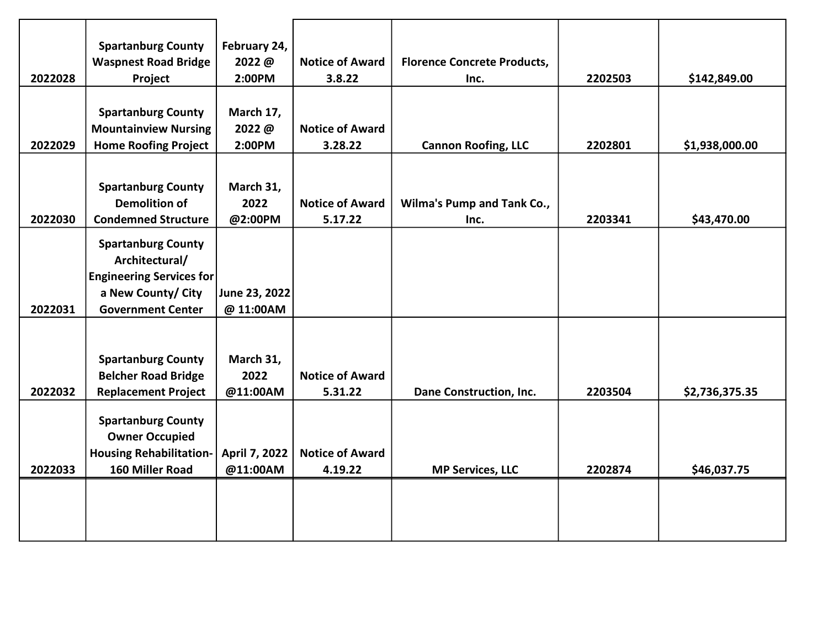|         | <b>Spartanburg County</b><br><b>Waspnest Road Bridge</b>                                                | February 24,<br>2022@         | <b>Notice of Award</b>            | <b>Florence Concrete Products,</b> |         |                |
|---------|---------------------------------------------------------------------------------------------------------|-------------------------------|-----------------------------------|------------------------------------|---------|----------------|
| 2022028 | Project                                                                                                 | 2:00PM                        | 3.8.22                            | Inc.                               | 2202503 | \$142,849.00   |
| 2022029 | <b>Spartanburg County</b><br><b>Mountainview Nursing</b><br><b>Home Roofing Project</b>                 | March 17,<br>2022@<br>2:00PM  | <b>Notice of Award</b><br>3.28.22 | <b>Cannon Roofing, LLC</b>         | 2202801 | \$1,938,000.00 |
| 2022030 | <b>Spartanburg County</b><br><b>Demolition of</b><br><b>Condemned Structure</b>                         | March 31,<br>2022<br>@2:00PM  | <b>Notice of Award</b><br>5.17.22 | Wilma's Pump and Tank Co.,<br>Inc. | 2203341 | \$43,470.00    |
|         | <b>Spartanburg County</b><br>Architectural/<br><b>Engineering Services for</b><br>a New County/ City    | June 23, 2022                 |                                   |                                    |         |                |
| 2022031 | <b>Government Center</b>                                                                                | @ 11:00AM                     |                                   |                                    |         |                |
| 2022032 | <b>Spartanburg County</b><br><b>Belcher Road Bridge</b><br><b>Replacement Project</b>                   | March 31,<br>2022<br>@11:00AM | <b>Notice of Award</b><br>5.31.22 | Dane Construction, Inc.            | 2203504 | \$2,736,375.35 |
| 2022033 | <b>Spartanburg County</b><br><b>Owner Occupied</b><br><b>Housing Rehabilitation-</b><br>160 Miller Road | April 7, 2022<br>@11:00AM     | <b>Notice of Award</b><br>4.19.22 | <b>MP Services, LLC</b>            | 2202874 | \$46,037.75    |
|         |                                                                                                         |                               |                                   |                                    |         |                |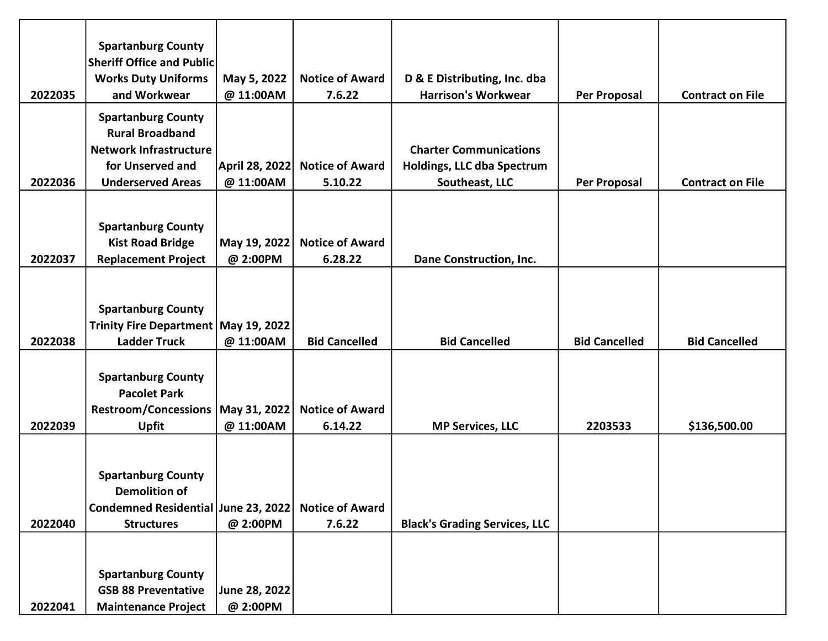|         | <b>Spartanburg County</b><br><b>Sheriff Office and Public</b> |                |                        |                                      |                      |                         |
|---------|---------------------------------------------------------------|----------------|------------------------|--------------------------------------|----------------------|-------------------------|
|         | <b>Works Duty Uniforms</b>                                    | May 5, 2022    | <b>Notice of Award</b> | D & E Distributing, Inc. dba         |                      |                         |
| 2022035 | and Workwear                                                  | @ 11:00AM      | 7.6.22                 | <b>Harrison's Workwear</b>           | <b>Per Proposal</b>  | <b>Contract on File</b> |
|         | <b>Spartanburg County</b>                                     |                |                        |                                      |                      |                         |
|         | <b>Rural Broadband</b>                                        |                |                        |                                      |                      |                         |
|         | <b>Network Infrastructure</b>                                 |                |                        | <b>Charter Communications</b>        |                      |                         |
|         | for Unserved and                                              | April 28, 2022 | <b>Notice of Award</b> | Holdings, LLC dba Spectrum           |                      |                         |
| 2022036 | <b>Underserved Areas</b>                                      | @ 11:00AM      | 5.10.22                | Southeast, LLC                       | Per Proposal         | <b>Contract on File</b> |
|         |                                                               |                |                        |                                      |                      |                         |
|         | <b>Spartanburg County</b>                                     |                |                        |                                      |                      |                         |
|         | <b>Kist Road Bridge</b>                                       | May 19, 2022   | <b>Notice of Award</b> |                                      |                      |                         |
| 2022037 | <b>Replacement Project</b>                                    | @ 2:00PM       | 6.28.22                | <b>Dane Construction, Inc.</b>       |                      |                         |
|         |                                                               |                |                        |                                      |                      |                         |
|         |                                                               |                |                        |                                      |                      |                         |
|         | <b>Spartanburg County</b>                                     |                |                        |                                      |                      |                         |
|         | Trinity Fire Department   May 19, 2022                        |                |                        |                                      |                      |                         |
| 2022038 | <b>Ladder Truck</b>                                           | @ 11:00AM      | <b>Bid Cancelled</b>   | <b>Bid Cancelled</b>                 | <b>Bid Cancelled</b> | <b>Bid Cancelled</b>    |
|         |                                                               |                |                        |                                      |                      |                         |
|         | <b>Spartanburg County</b><br><b>Pacolet Park</b>              |                |                        |                                      |                      |                         |
|         | Restroom/Concessions   May 31, 2022                           |                | <b>Notice of Award</b> |                                      |                      |                         |
| 2022039 | <b>Upfit</b>                                                  | @ 11:00AM      | 6.14.22                | <b>MP Services, LLC</b>              | 2203533              | \$136,500.00            |
|         |                                                               |                |                        |                                      |                      |                         |
|         |                                                               |                |                        |                                      |                      |                         |
|         | <b>Spartanburg County</b>                                     |                |                        |                                      |                      |                         |
|         | <b>Demolition of</b>                                          |                |                        |                                      |                      |                         |
|         | Condemned Residential June 23, 2022                           |                | <b>Notice of Award</b> |                                      |                      |                         |
| 2022040 | <b>Structures</b>                                             | @ 2:00PM       | 7.6.22                 | <b>Black's Grading Services, LLC</b> |                      |                         |
|         |                                                               |                |                        |                                      |                      |                         |
|         | <b>Spartanburg County</b>                                     |                |                        |                                      |                      |                         |
|         | <b>GSB 88 Preventative</b>                                    | June 28, 2022  |                        |                                      |                      |                         |
| 2022041 | <b>Maintenance Project</b>                                    | @ 2:00PM       |                        |                                      |                      |                         |